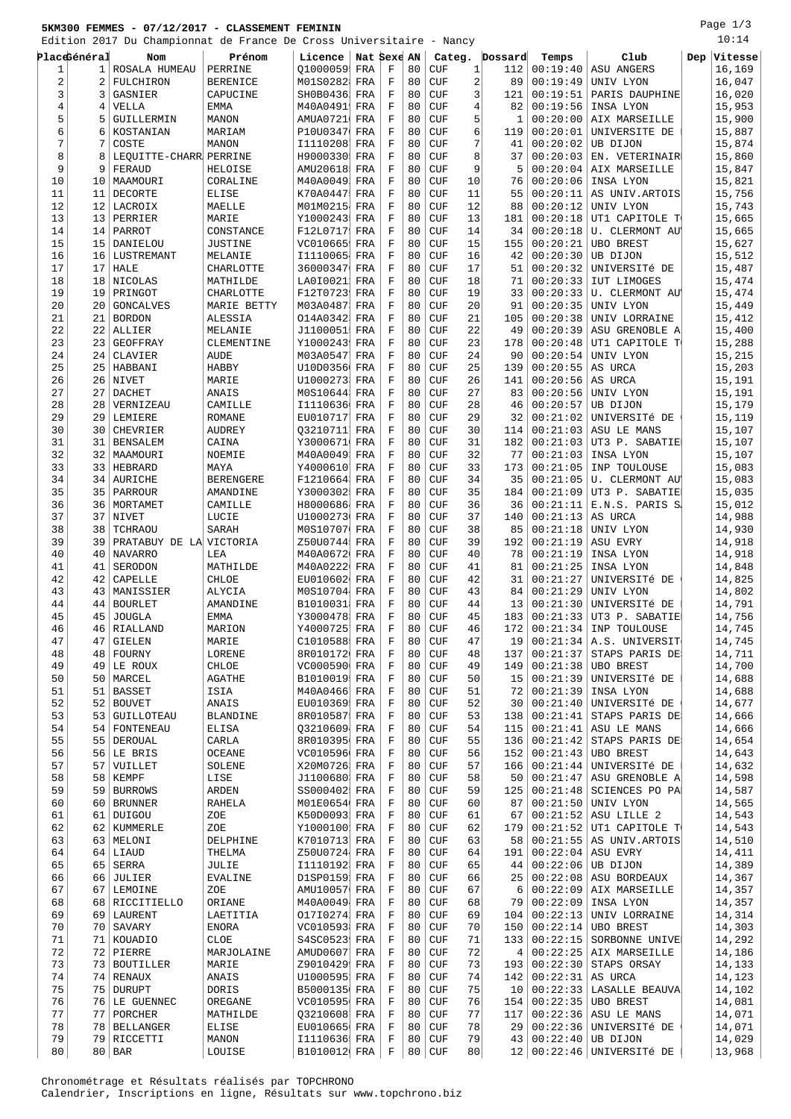## **5KM300 FEMMES - 07/12/2017 - CLASSEMENT FEMININ**

Edition 2017 Du Championnat de France De Cross Universitaire - Nancy

Page 1/3

|          |              | Edition 2017 Du Championnat de France De Cross Universitaire - Nancy |                  |                              |             |                            |          |            |                |                 |                      |                              |     | 10:14            |
|----------|--------------|----------------------------------------------------------------------|------------------|------------------------------|-------------|----------------------------|----------|------------|----------------|-----------------|----------------------|------------------------------|-----|------------------|
|          | PlaceGénéral | Nom.                                                                 | Prénom           | Licence                      | Nat Sexe AN |                            |          |            | Categ.         | Dossard         | Temps                | Club                         | Dep | Vitesse          |
| 1        | 1            | ROSALA HUMEAU                                                        | PERRINE          | 01000059                     | FRA         | F                          | 80       | <b>CUF</b> | 1              | 112             | 00:19:40             | ASU ANGERS                   |     | 16,169           |
| 2        | 2            | FULCHIRON                                                            | <b>BERENICE</b>  | M01S0282                     | FRA         | $\mathbf F$                | 80       | <b>CUF</b> | $\overline{2}$ | 89              | 00:19:49             | UNIV LYON                    |     | 16,047           |
| 3        | 3            | GASNIER                                                              | CAPUCINE         | SH0B0436                     | FRA         | $\mathbf F$                | 80       | <b>CUF</b> | 3              | 121             | 00:19:51             | PARIS DAUPHINE               |     | 16,020           |
| 4        | 4            | VELLA                                                                | <b>EMMA</b>      | M40A0491                     | FRA         | $\mathbf F$                | 80       | <b>CUF</b> | 4              | 82              | 00:19:56             | INSA LYON                    |     | 15,953           |
| 5        | 5            | GUILLERMIN                                                           | <b>MANON</b>     | AMUA0721                     | FRA         | F                          | 80       | <b>CUF</b> | 5              | 1               | 00:20:00             | AIX MARSEILLE                |     | 15,900           |
| 6        | 6            | KOSTANIAN                                                            | MARIAM           | P10U0347                     | FRA         | $\mathbf F$                | 80       | <b>CUF</b> | 6              | 119             | 00:20:01             | UNIVERSITE DE                |     | 15,887           |
| 7        | 7            | COSTE                                                                | MANON            | I1110208                     | FRA         | F                          | 80       | <b>CUF</b> | 7              | 41              | 00:20:02             | UB DIJON                     |     | 15,874           |
| 8        | 8            | LEQUITTE-CHARR PERRINE                                               |                  | H9000330                     | FRA         | $\mathbf F$                | 80       | <b>CUF</b> | 8              | 37              | 00:20:03             | EN. VETERINAIR               |     | 15,860           |
| 9        | 9            | FERAUD                                                               | HELOISE          | AMU20618                     | FRA         | F                          | 80       | <b>CUF</b> | 9              | 5               | 00:20:04             | AIX MARSEILLE                |     | 15,847           |
| 10       | 10           | MAAMOURI                                                             | CORALINE         | M40A0049                     | FRA         | F                          | 80       | <b>CUF</b> | 10             | 76              | 00:20:06             | INSA LYON                    |     | 15,821           |
| 11       | 11           | DECORTE                                                              | <b>ELISE</b>     | K70A0447                     | FRA         | $\mathbf F$                | 80       | <b>CUF</b> | 11             | 55              | 00:20:11             | AS UNIV. ARTOIS              |     | 15,756           |
| 12       | 12           | LACROIX                                                              | MAELLE           | M01M0215                     | FRA         | $\mathbf F$                | 80       | <b>CUF</b> | 12             | 88              | 00:20:12             | UNIV LYON                    |     | 15,743           |
| 13       |              | 13 PERRIER                                                           | MARIE            | Y1000243                     | FRA         | $\mathbf F$                | 80       | <b>CUF</b> | 13             | 181             | 00:20:18             | UT1 CAPITOLE T               |     | 15,665           |
| 14       | 14           | PARROT                                                               | CONSTANCE        | F12L0717                     | FRA         | F                          | 80       | <b>CUF</b> | 14             | 34              | 00:20:18             | U. CLERMONT AU               |     | 15,665           |
| 15       | 15           | DANIELOU                                                             | <b>JUSTINE</b>   | VC010665                     | FRA         | $\mathbf F$                | 80       | <b>CUF</b> | 15             | 155             | 00:20:21             | <b>UBO BREST</b>             |     | 15,627           |
| 16       | 16           | LUSTREMANT                                                           | MELANIE          | I1110065                     | FRA         | $\mathbf F$                | 80       | <b>CUF</b> | 16             | 42              | 00:20:30             | UB DIJON                     |     | 15,512           |
| 17       | 17           | <b>HALE</b>                                                          | CHARLOTTE        | 36000347                     | FRA         | F                          | 80       | <b>CUF</b> | 17             | 51              | 00:20:32             | UNIVERSITÉ DE                |     | 15,487           |
| 18       | 18           | NICOLAS                                                              | MATHILDE         | LA010021                     | FRA         | $\mathbf F$                | 80       | <b>CUF</b> | 18             | 71              | 00:20:33             | <b>IUT LIMOGES</b>           |     | 15,474           |
| 19       | 19           | PRINGOT                                                              | CHARLOTTE        | F12T0723                     | FRA         | F                          | 80       | <b>CUF</b> | 19             | 33              | 00:20:33             | U. CLERMONT AU               |     | 15,474           |
| 20       | 20           | <b>GONCALVES</b>                                                     | MARIE BETTY      | M03A0487                     | FRA         | $\mathbf F$                | 80       | <b>CUF</b> | 20             | 91              | 00:20:35             | UNIV LYON                    |     | 15,449           |
| 21       | 21           | <b>BORDON</b>                                                        | ALESSIA          | 014A0342                     | FRA         | F                          | 80       | <b>CUF</b> | 21             | 105             | 00:20:38             | UNIV LORRAINE                |     | 15,412           |
| 22       | 22           | ALLIER                                                               | MELANIE          | J1100051                     | FRA         | $\mathbf F$                | 80       | <b>CUF</b> | 22             | 49              | 00:20:39             | ASU GRENOBLE A               |     | 15,400           |
| 23       | 23           | GEOFFRAY                                                             | CLEMENTINE       | Y1000243                     | FRA         | F                          | 80       | <b>CUF</b> | 23             | 178             | 00:20:48             | UT1 CAPITOLE T               |     | 15,288           |
| 24       | 24           | CLAVIER                                                              | <b>AUDE</b>      | M03A0547                     | FRA         | F                          | 80       | <b>CUF</b> | 24             | 90              | 00:20:54             | UNIV LYON                    |     | 15,215           |
| 25       | 25           | HABBANI                                                              | HABBY            | U10D0356                     | FRA         | $\mathbf F$                | 80       | <b>CUF</b> | 25             | 139             | 00:20:55             | AS URCA                      |     | 15,203           |
| 26       | 26           | NIVET                                                                | MARIE            | U1000273                     | FRA         | F                          | 80       | <b>CUF</b> | 26             | 141             | 00:20:56             | AS URCA                      |     | 15,191           |
| 27       | 27           | <b>DACHET</b>                                                        | <b>ANAIS</b>     | M0S10644                     | FRA         | $\mathbf F$                | 80       | <b>CUF</b> | 27             | 83              | 00:20:56             | UNIV LYON                    |     | 15,191           |
| 28       | 28           | VERNIZEAU                                                            | CAMILLE          | I1110636                     | FRA         | $\mathbf F$                | 80       | <b>CUF</b> | 28             | 46              | 00:20:57             | UB DIJON                     |     | 15,179           |
| 29       | 29           | LEMIERE                                                              | <b>ROMANE</b>    | EU010717                     | FRA         | $\mathbf F$                | 80       | <b>CUF</b> | 29             | 32              | 00:21:02             | UNIVERSITÉ DE                |     | 15,119           |
| 30       | 30           | CHEVRIER                                                             | <b>AUDREY</b>    | Q3210711                     | FRA         | F                          | 80       | <b>CUF</b> | 30             | 114             | 00:21:03             | ASU LE MANS                  |     | 15,107           |
| 31       | 31           | <b>BENSALEM</b>                                                      | CAINA            | Y3000671                     | FRA         | $\mathbf F$                | 80       | <b>CUF</b> | 31             | 182             | 00:21:03             | UT3 P. SABATIE               |     | 15,107           |
| 32       | 32           | MAAMOURI                                                             | NOEMIE           | M40A0049                     | FRA         | F                          | 80       | <b>CUF</b> | 32             | 77              | 00:21:03             | INSA LYON                    |     | 15,107           |
| 33       | 33           | HEBRARD                                                              | MAYA             | Y4000610                     | FRA         | F                          | 80       | <b>CUF</b> | 33             | 173             | 00:21:05             | INP TOULOUSE                 |     | 15,083           |
| 34       |              | 34   AURICHE                                                         | <b>BERENGERE</b> | F1210664                     | FRA         | $\mathbf F$                | 80       | <b>CUF</b> | 34             | 35              | 00:21:05             | U. CLERMONT AU               |     | 15,083           |
| 35       | 35           | PARROUR                                                              | AMANDINE         | Y3000302                     | FRA         | F                          | 80       | <b>CUF</b> | 35             | 184             | 00:21:09             | UT3 P. SABATIE               |     | 15,035           |
| 36       | 36           | MORTAMET                                                             | CAMILLE          | H8000686                     | FRA         | $\mathbf F$                | 80       | <b>CUF</b> | 36             | 36              | 00:21:11             | E.N.S. PARIS S               |     | 15,012           |
| 37       | 37           | NIVET                                                                | LUCIE            | U1000273                     | FRA         | F                          | 80       | <b>CUF</b> | 37             | 140             | 00:21:13             | AS URCA                      |     | 14,988           |
| 38       | 38           | TCHRAOU                                                              | SARAH            | M0S10707                     | FRA         | F                          | 80       | <b>CUF</b> | 38             | 85              | 00:21:18             | UNIV LYON                    |     | 14,930           |
| 39       | 39           | PRATABUY DE LA VICTORIA                                              |                  | Z50U0744                     | FRA         | F                          | 80       | <b>CUF</b> | 39             | 192             | 00:21:19             | ASU EVRY                     |     | 14,918           |
| 40       | 40           | <b>NAVARRO</b>                                                       | LEA              | M40A0672                     | FRA         | F                          | 80       | <b>CUF</b> | 40             | 78              | 00:21:19             | INSA LYON                    |     | 14,918           |
| 41       | 41           | SERODON                                                              | MATHILDE         | M40A0222                     | FRA         | $\mathbf F$                | 80       | <b>CUF</b> | 41             | 81              | 00:21:25             | INSA LYON                    |     | 14,848           |
| 42       | 42           | CAPELLE                                                              | CHLOE            | EU010602                     | FRA         | F                          | 80       | <b>CUF</b> | 42             | 31              | 00:21:27             | UNIVERSITé DE                |     | 14,825           |
| 43       | 43           | MANISSIER                                                            | ALYCIA           | M0S10704                     | FRA         | $\mathbf F$                | 80       | <b>CUF</b> | 43             | 84              | 00:21:29             | UNIV LYON                    |     | 14,802           |
| 44       | 44           | <b>BOURLET</b>                                                       | AMANDINE         | B1010031                     | FRA         | F                          | 80       | <b>CUF</b> | 44             | 13              | 00:21:30             | UNIVERSITÉ DE                |     | 14,791           |
| 45       |              | 45 JOUGLA                                                            | <b>EMMA</b>      | Y3000478 FRA                 |             | $\mathbf F$                | 80       | <b>CUF</b> | 45             | 183             | 00:21:33             | UT3 P. SABATIE               |     | 14,756           |
| 46       |              | 46 RIALLAND                                                          | MARION           | Y4000725                     | FRA         | $\mathbf F$                | 80       | <b>CUF</b> | 46             | 172             | 00:21:34             | INP TOULOUSE                 |     | 14,745           |
| 47       | 47           | <b>GIELEN</b>                                                        | MARIE            | C1010588 FRA                 |             | F                          | 80       | CUF        | 47             | 19              |                      | $00:21:34$   A.S. UNIVERSIT  |     | 14,745           |
| 48       | 48           | FOURNY                                                               | LORENE           | 8R010172 FRA                 |             | $\mathbf F$                | 80       | CUF        | 48             | 137             | 00:21:37             | STAPS PARIS DE               |     | 14,711           |
| 49       | 49           | LE ROUX                                                              | CHLOE            | VC000590 FRA                 |             | $\mathbf F$                | 80       | <b>CUF</b> | 49             | 149             | 00:21:38             | <b>UBO BREST</b>             |     | 14,700           |
| 50       |              | 50   MARCEL                                                          | AGATHE           | B1010019 FRA                 |             | $\mathbf F$                | 80       | CUF        | 50             | 15              | 00:21:39             | UNIVERSITÉ DE                |     | 14,688           |
| 51       | 51           | <b>BASSET</b>                                                        | ISIA             | M40A0466                     | FRA         | F                          | 80       | CUF        | 51             | 72              | 00:21:39             | INSA LYON                    |     | 14,688           |
| 52       | 52           | <b>BOUVET</b>                                                        | ANAIS            | EU010369                     | FRA         | $\mathbf F$                | 80       | CUF        | 52             | 30              | 00:21:40             | UNIVERSITé DE                |     | 14,677           |
| 53       | 53           | GUILLOTEAU                                                           | <b>BLANDINE</b>  | 8R010587                     | FRA         | $\mathbf F$                | 80       | CUF        | 53             | 138             | 00:21:41             | STAPS PARIS DE               |     | 14,666           |
| 54       |              | 54   FONTENEAU                                                       | ELISA            | Q3210609 FRA                 |             | $\mathbf F$                | 80       | CUF        | 54             | 115             | 00:21:41             | ASU LE MANS                  |     | 14,666           |
| 55       |              | 55   DEROUAL                                                         | CARLA            | 8R010395                     | FRA         | F                          | 80       | CUF        | 55             | 136             | 00:21:42             | STAPS PARIS DE               |     | 14,654           |
| 56       |              | 56 LE BRIS                                                           | OCEANE           | VC010596 FRA                 |             | $\mathbf F$                | 80       | CUF        | 56             | 152             | 00:21:43             | <b>UBO BREST</b>             |     | 14,643           |
| 57       | 57           | VUILLET                                                              | SOLENE           | X20M0726                     | FRA         | $\mathbf F$                | 80       | CUF        | 57             | 166             | 00:21:44             | UNIVERSITÉ DE                |     | 14,632           |
| 58       | 58           | KEMPF                                                                | LISE             | J1100680                     | FRA         | $\mathbf F$                | 80       | CUF        | 58             | 50              | 00:21:47             | ASU GRENOBLE A               |     | 14,598           |
| 59       |              | 59 BURROWS                                                           | ARDEN            | SS000402 FRA                 |             | $\mathbf F$                | 80       | CUF        | 59             | 125             | 00:21:48             | SCIENCES PO PA               |     | 14,587           |
| 60       | 60           | <b>BRUNNER</b>                                                       | <b>RAHELA</b>    | M01E0654                     | FRA         | $\mathbf F$                | 80       | CUF        | 60             | 87              | 00:21:50             | UNIV LYON                    |     | 14,565           |
| 61       | 61           | DUIGOU                                                               | ZOE              | K50D0093                     | FRA         | $\mathbf F$                | 80       | CUF        | 61             | 67              | 00:21:52             | ASU LILLE 2                  |     | 14,543           |
| 62       |              |                                                                      |                  | Y1000100                     |             | $\mathbf F$                | 80       |            | 62             |                 | 00:21:52             |                              |     | 14,543           |
|          | 62           | KUMMERLE                                                             | ZOE              | K7010713 FRA                 | FRA         | $\mathbf F$                | 80       | CUF<br>CUF | 63             | 179             | 00:21:55             | UT1 CAPITOLE T               |     | 14,510           |
| 63       |              | 63   MELONI                                                          | DELPHINE         | Z50U0724 FRA                 |             |                            | 80       |            | 64             | 58              | 00:22:04             | AS UNIV. ARTOIS              |     | 14,411           |
| 64       |              | $64$ LIAUD                                                           | THELMA           |                              |             | F<br>$\mathbf F$           | 80       | CUF        |                | 191             |                      | ASU EVRY                     |     |                  |
| 65       | 65           | SERRA                                                                | JULIE            | I1110192 FRA<br>D1SP0159 FRA |             | $\mathbf F$                |          | CUF        | 65<br>66       | 44              | 00:22:06<br>00:22:08 | UB DIJON                     |     | 14,389<br>14,367 |
| 66       | 66           | JULIER                                                               | <b>EVALINE</b>   |                              |             |                            | 80       | CUF        |                | 25 <sub>1</sub> |                      | ASU BORDEAUX                 |     |                  |
| 67       | 67           | LEMOINE                                                              | ZOE              | AMU10057                     | FRA         | F                          | 80       | CUF        | 67             | 6               | 00:22:09<br>00:22:09 | AIX MARSEILLE                |     | 14,357           |
| 68       |              | 68   RICCITIELLO                                                     | ORIANE           | M40A0049                     | FRA         | $\mathbf F$<br>$\mathbf F$ | 80<br>80 | CUF        | 68<br>69       | 79              |                      | INSA LYON<br>UNIV LORRAINE   |     | 14,357           |
| 69       | 69           | LAURENT                                                              | LAETITIA         | 01710274                     | FRA         | $\mathbf F$                |          | CUF        |                | 104             | 00:22:13<br>00:22:14 |                              |     | 14,314           |
| 70       |              | 70   SAVARY                                                          | <b>ENORA</b>     | VC010593 FRA                 |             |                            | 80       | CUF        | 70             | 150             |                      | <b>UBO BREST</b>             |     | 14,303           |
| 71       |              | 71   KOUADIO                                                         | CLOE             | S4SC0523                     | FRA         | F                          | 80       | CUF        | 71             | 133             | 00:22:15             | SORBONNE UNIVE               |     | 14,292           |
| 72       |              | 72 PIERRE                                                            | MARJOLAINE       | AMUD0607<br>Z9010429 FRA     | FRA         | $\mathbf F$<br>F           | 80<br>80 | CUF        | 72<br>73       | 4               | 00:22:25<br>00:22:30 | AIX MARSEILLE                |     | 14,186<br>14,133 |
| 73       |              | 73   BOUTILLER                                                       | MARIE            | U1000595                     |             | $\mathbf F$                | 80       | CUF        | 74             | 193             | 00:22:31             | STAPS ORSAY                  |     | 14,123           |
| 74       |              | 74 RENAUX                                                            | ANAIS            |                              | FRA         | $\mathbf F$                |          | CUF        | 75             | 142             |                      | AS URCA                      |     |                  |
| 75       |              | 75   DURUPT                                                          | DORIS            | B5000135 FRA                 |             |                            | 80       | CUF        |                | 10              | 00:22:33             | LASALLE BEAUVA               |     | 14,102           |
| 76       |              | 76 LE GUENNEC                                                        | OREGANE          | VC010595                     | FRA         | F                          | 80       | CUF        | 76             | 154             | 00:22:35             | <b>UBO BREST</b>             |     | 14,081           |
| 77       |              | 77   PORCHER                                                         | MATHILDE         | Q3210608 FRA                 |             | $\mathbf F$                | 80       | CUF        | 77             | 117             | 00:22:36             | ASU LE MANS                  |     | 14,071           |
| 78<br>79 | 78           | <b>BELLANGER</b>                                                     | ELISE            | EU010665                     | FRA         | F                          | 80       | CUF        | 78<br>79       | 29              | 00:22:36<br>00:22:40 | UNIVERSITÉ DE                |     | 14,071           |
|          |              | 79 RICCETTI                                                          | MANON            | I1110636 FRA                 |             | $\mathbf F$                | 80       | <b>CUF</b> |                | 43              |                      | UB DIJON                     |     | 14,029           |
| 80       |              | $80$ BAR                                                             | LOUISE           | B1010012 FRA                 |             | F                          | 80       | CUF        | 80             |                 |                      | $12 00:22:46 $ UNIVERSITÉ DE |     | 13,968           |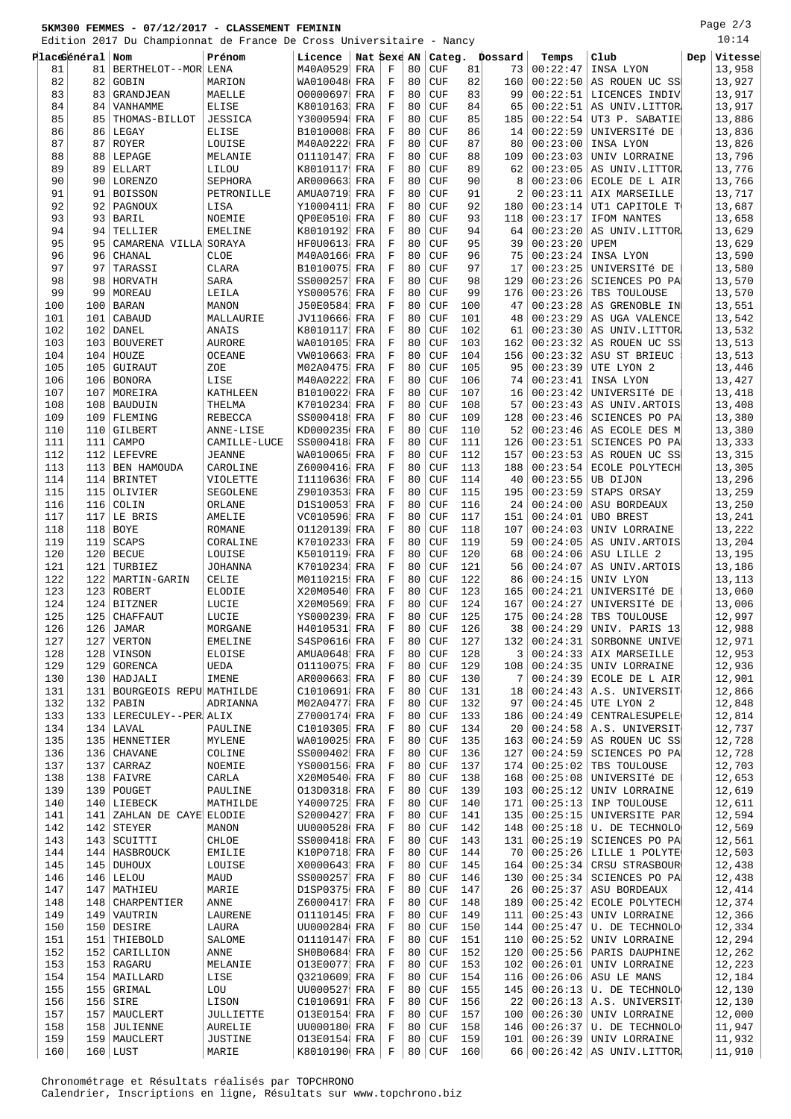## **5KM300 FEMMES - 07/12/2017 - CLASSEMENT FEMININ**

Edition 2017 Du Championnat de France De Cross Universitaire - Nancy

Page 2/3 10:14

|     |                 | Edition 2017 Du Championnat de France De Cross Universitaire |                  |              |             |             |    | - Nancy    |     |         |          |                            |     |         |
|-----|-----------------|--------------------------------------------------------------|------------------|--------------|-------------|-------------|----|------------|-----|---------|----------|----------------------------|-----|---------|
|     | Placeeneral Nom |                                                              | Prénom           | Licence      | Nat Sexe AN |             |    | Categ.     |     | Dossard | Temps    | Club                       | Dep | Vitesse |
| 81  | 81              | BERTHELOT--MOR LENA                                          |                  | M40A0529     | FRA         | F           | 80 | <b>CUF</b> | 81  | 73      | 00:22:47 | INSA LYON                  |     | 13,958  |
| 82  | 82              | GOBIN                                                        | MARION           | WA010048 FRA |             | $\rm F$     | 80 | <b>CUF</b> | 82  | 160     | 00:22:50 | AS ROUEN UC SS             |     | 13,927  |
| 83  | 83              | GRANDJEAN                                                    | MAELLE           | 00000697     | FRA         | $\rm F$     | 80 | <b>CUF</b> | 83  | 99      | 00:22:51 | LICENCES INDIV             |     | 13,917  |
| 84  |                 |                                                              |                  |              |             | $\rm F$     | 80 |            |     |         |          |                            |     |         |
|     | 84              | VANHAMME                                                     | <b>ELISE</b>     | K8010163     | FRA         |             |    | <b>CUF</b> | 84  | 65      | 00:22:51 | AS UNIV.LITTOR             |     | 13,917  |
| 85  | 85              | THOMAS-BILLOT                                                | JESSICA          | Y3000594     | FRA         | $\rm F$     | 80 | <b>CUF</b> | 85  | 185     | 00:22:54 | UT3 P. SABATIE             |     | 13,886  |
| 86  | 86              | LEGAY                                                        | <b>ELISE</b>     | B1010008     | FRA         | $\mathbf F$ | 80 | <b>CUF</b> | 86  | 14      | 00:22:59 | UNIVERSITÉ DE              |     | 13,836  |
| 87  | 87              | ROYER                                                        | LOUISE           | M40A0222     | FRA         | $\rm F$     | 80 | <b>CUF</b> | 87  | 80      | 00:23:00 | INSA LYON                  |     | 13,826  |
| 88  | 88              | LEPAGE                                                       | MELANIE          | 01110147     | FRA         | $\rm F$     | 80 | <b>CUF</b> | 88  | 109     | 00:23:03 | UNIV LORRAINE              |     | 13,796  |
| 89  | 89              | ELLART                                                       | LILOU            | K8010117     | FRA         | $\mathbf F$ | 80 | <b>CUF</b> | 89  | 62      | 00:23:05 | AS UNIV.LITTOR             |     | 13,776  |
| 90  | 90              | <b>LORENZO</b>                                               | <b>SEPHORA</b>   | AR000663     | FRA         | $\rm F$     | 80 | <b>CUF</b> | 90  | 8       | 00:23:06 | ECOLE DE L AIR             |     | 13,766  |
| 91  | 91              | <b>BOISSON</b>                                               | PETRONILLE       | AMUA0719     | FRA         | $\rm F$     | 80 | <b>CUF</b> | 91  | 2       | 00:23:11 | AIX MARSEILLE              |     | 13,717  |
|     |                 |                                                              |                  |              |             |             |    |            |     |         |          |                            |     |         |
| 92  | 92              | PAGNOUX                                                      | LISA             | Y1000411     | FRA         | $\rm F$     | 80 | <b>CUF</b> | 92  | 180     | 00:23:14 | UT1 CAPITOLE T             |     | 13,687  |
| 93  | 93              | BARIL                                                        | NOEMIE           | OP0E0510     | FRA         | $\rm F$     | 80 | <b>CUF</b> | 93  | 118     | 00:23:17 | IFOM NANTES                |     | 13,658  |
| 94  | 94              | TELLIER                                                      | <b>EMELINE</b>   | K8010192     | FRA         | $\rm F$     | 80 | <b>CUF</b> | 94  | 64      | 00:23:20 | AS UNIV.LITTOR             |     | 13,629  |
| 95  | 95              | CAMARENA VILLA SORAYA                                        |                  | HF0U0613     | FRA         | $\rm F$     | 80 | <b>CUF</b> | 95  | 39      | 00:23:20 | UPEM                       |     | 13,629  |
| 96  | 96              | CHANAL                                                       | <b>CLOE</b>      | M40A0166     | FRA         | $\rm F$     | 80 | <b>CUF</b> | 96  | 75      | 00:23:24 | INSA LYON                  |     | 13,590  |
| 97  | 97              | TARASSI                                                      | CLARA            | B1010075     | FRA         | $\rm F$     | 80 | <b>CUF</b> | 97  | 17      | 00:23:25 | UNIVERSITÉ DE              |     | 13,580  |
| 98  | 98              | HORVATH                                                      | SARA             | SS000257     | FRA         | $\mathbf F$ | 80 | <b>CUF</b> | 98  | 129     | 00:23:26 | SCIENCES PO PA             |     | 13,570  |
|     |                 |                                                              |                  |              |             | $\mathbf F$ |    |            |     |         |          |                            |     |         |
| 99  | 99              | MOREAU                                                       | LEILA            | YS000576     | FRA         |             | 80 | <b>CUF</b> | 99  | 176     | 00:23:26 | TBS TOULOUSE               |     | 13,570  |
| 100 | 100             | <b>BARAN</b>                                                 | MANON            | J50E0584     | FRA         | F           | 80 | <b>CUF</b> | 100 | 47      | 00:23:28 | AS GRENOBLE IN             |     | 13,551  |
| 101 | 101             | CABAUD                                                       | MALLAURIE        | JV110666     | FRA         | $\rm F$     | 80 | <b>CUF</b> | 101 | 48      | 00:23:29 | AS UGA VALENCE             |     | 13,542  |
| 102 | 102             | DANEL                                                        | ANAIS            | K8010117     | FRA         | $\mathbf F$ | 80 | <b>CUF</b> | 102 | 61      | 00:23:30 | AS UNIV.LITTOR             |     | 13,532  |
| 103 |                 | 103 BOUVERET                                                 | <b>AURORE</b>    | WA010105     | FRA         | $\mathbf F$ | 80 | <b>CUF</b> | 103 | 162     | 00:23:32 | AS ROUEN UC SS             |     | 13,513  |
| 104 |                 | 104 HOUZE                                                    | <b>OCEANE</b>    | VW010663     | FRA         | F           | 80 | <b>CUF</b> | 104 | 156     | 00:23:32 | ASU ST BRIEUC              |     | 13,513  |
| 105 | 105             | GUIRAUT                                                      | ZOE              | M02A0475     | FRA         | $\mathbf F$ | 80 | <b>CUF</b> | 105 | 95      | 00:23:39 | UTE LYON 2                 |     | 13,446  |
|     |                 |                                                              |                  |              |             |             | 80 |            |     |         |          |                            |     |         |
| 106 |                 | 106 BONORA                                                   | LISE             | M40A0222     | FRA         | $\rm F$     |    | <b>CUF</b> | 106 | 74      | 00:23:41 | INSA LYON                  |     | 13,427  |
| 107 |                 | 107 MOREIRA                                                  | KATHLEEN         | B1010022     | FRA         | $\rm F$     | 80 | <b>CUF</b> | 107 | 16      | 00:23:42 | UNIVERSITÉ DE              |     | 13,418  |
| 108 |                 | 108   BAUDUIN                                                | THELMA           | K7010234     | FRA         | $\rm F$     | 80 | <b>CUF</b> | 108 | 57      | 00:23:43 | AS UNIV. ARTOIS            |     | 13,408  |
| 109 | 109             | FLEMING                                                      | <b>REBECCA</b>   | SS000418     | FRA         | $\mathbf F$ | 80 | <b>CUF</b> | 109 | 128     | 00:23:46 | SCIENCES PO PA             |     | 13,380  |
| 110 | 110             | GILBERT                                                      | ANNE-LISE        | KD000235     | FRA         | $\mathbf F$ | 80 | <b>CUF</b> | 110 | 52      | 00:23:46 | AS ECOLE DES M             |     | 13,380  |
| 111 | 111             | CAMPO                                                        | CAMILLE-LUCE     | SS000418     | FRA         | $\mathbf F$ | 80 | <b>CUF</b> | 111 | 126     | 00:23:51 | SCIENCES PO PA             |     | 13,333  |
| 112 |                 | 112 LEFEVRE                                                  | <b>JEANNE</b>    | WA010065     | FRA         | $\mathbf F$ | 80 | <b>CUF</b> | 112 | 157     | 00:23:53 | AS ROUEN UC SS             |     | 13,315  |
| 113 |                 | 113 BEN HAMOUDA                                              | CAROLINE         | Z6000416     | FRA         | F           | 80 | <b>CUF</b> | 113 | 188     | 00:23:54 | ECOLE POLYTECH             |     | 13,305  |
|     |                 |                                                              |                  |              |             |             |    |            |     |         |          |                            |     |         |
| 114 |                 | 114 BRINTET                                                  | VIOLETTE         | I1110636     | FRA         | $\mathbf F$ | 80 | <b>CUF</b> | 114 | 40      | 00:23:55 | UB DIJON                   |     | 13,296  |
| 115 | 115             | OLIVIER                                                      | SEGOLENE         | Z9010353     | FRA         | $\rm F$     | 80 | <b>CUF</b> | 115 | 195     | 00:23:59 | STAPS ORSAY                |     | 13,259  |
| 116 | 116             | COLIN                                                        | ORLANE           | D1S10053     | FRA         | $\mathbf F$ | 80 | <b>CUF</b> | 116 | 24      | 00:24:00 | ASU BORDEAUX               |     | 13,250  |
| 117 | 117             | LE BRIS                                                      | AMELIE           | VC010596     | FRA         | $\rm F$     | 80 | <b>CUF</b> | 117 | 151     | 00:24:01 | <b>UBO BREST</b>           |     | 13,241  |
| 118 | 118             | <b>BOYE</b>                                                  | <b>ROMANE</b>    | 01120139     | FRA         | $\mathbf F$ | 80 | <b>CUF</b> | 118 | 107     | 00:24:03 | UNIV LORRAINE              |     | 13,222  |
| 119 | 119             | SCAPS                                                        | CORALINE         | K7010233     | FRA         | $\rm F$     | 80 | <b>CUF</b> | 119 | 59      | 00:24:05 | AS UNIV. ARTOIS            |     | 13,204  |
| 120 | 120             | <b>BECUE</b>                                                 | LOUISE           | K5010119     | FRA         | $\mathbf F$ | 80 | <b>CUF</b> | 120 | 68      | 00:24:06 | ASU LILLE 2                |     | 13,195  |
|     |                 |                                                              |                  |              |             |             |    |            |     |         |          |                            |     |         |
| 121 | 121             | TURBIEZ                                                      | <b>JOHANNA</b>   | K7010234     | FRA         | $\rm F$     | 80 | <b>CUF</b> | 121 | 56      | 00:24:07 | AS UNIV. ARTOIS            |     | 13,186  |
| 122 |                 | 122   MARTIN-GARIN                                           | CELIE            | M0110215     | FRA         | $\mathbf F$ | 80 | <b>CUF</b> | 122 | 86      | 00:24:15 | UNIV LYON                  |     | 13,113  |
| 123 |                 | 123 ROBERT                                                   | ELODIE           | X20M0540     | FRA         | $\rm F$     | 80 | <b>CUF</b> | 123 | 165     | 00:24:21 | UNIVERSITÉ DE              |     | 13,060  |
| 124 |                 | 124 BITZNER                                                  | LUCIE            | X20M0569     | FRA         | $\rm F$     | 80 | <b>CUF</b> | 124 | 167     | 00:24:27 | UNIVERSITÉ DE              |     | 13,006  |
| 125 | 125             | <b>CHAFFAUT</b>                                              | LUCIE            | YS000239     | FRA         | $\mathbf F$ | 80 | <b>CUF</b> | 125 | 175     | 00:24:28 | TBS TOULOUSE               |     | 12,997  |
| 126 |                 | $126$ JAMAR                                                  | MORGANE          | H4010531 FRA |             | $\mathbf F$ | 80 | <b>CUF</b> | 126 | 38      | 00:24:29 | UNIV. PARIS 13             |     | 12,988  |
| 127 |                 | $127$   VERTON                                               | <b>EMELINE</b>   | S4SP0616 FRA |             | F           | 80 | CUF        | 127 | 132     | 00:24:31 | SORBONNE UNIVE             |     | 12,971  |
| 128 |                 | 128 VINSON                                                   | ELOISE           | AMUA0648 FRA |             | F           | 80 | CUF        | 128 | 3       | 00:24:33 | AIX MARSEILLE              |     | 12,953  |
|     |                 |                                                              |                  |              |             |             |    |            |     |         |          |                            |     |         |
| 129 | 129             | GORENCA                                                      | UEDA             | 01110075 FRA |             | $\mathbf F$ | 80 | <b>CUF</b> | 129 | 108     | 00:24:35 | UNIV LORRAINE              |     | 12,936  |
| 130 |                 | 130   HADJALI                                                | IMENE            | AR000663 FRA |             | $\rm F$     | 80 | <b>CUF</b> | 130 | 7       | 00:24:39 | ECOLE DE L AIR             |     | 12,901  |
| 131 |                 | 131   BOURGEOIS REPU MATHILDE                                |                  | C1010691     | FRA         | $\rm F$     | 80 | <b>CUF</b> | 131 | 18      | 00:24:43 | A.S. UNIVERSIT             |     | 12,866  |
| 132 |                 | $132$ PABIN                                                  | ADRIANNA         | M02A0477 FRA |             | F           | 80 | <b>CUF</b> | 132 | 97      | 00:24:45 | UTE LYON 2                 |     | 12,848  |
| 133 |                 | 133   LERECULEY--PER ALIX                                    |                  | Z7000174 FRA |             | $\mathbf F$ | 80 | <b>CUF</b> | 133 | 186     | 00:24:49 | <b>CENTRALESUPELE</b>      |     | 12,814  |
| 134 |                 | $134$   LAVAL                                                | PAULINE          | C1010305 FRA |             | F           | 80 | <b>CUF</b> | 134 | 20      | 00:24:58 | A.S. UNIVERSIT             |     | 12,737  |
| 135 |                 | 135   HENNETIER                                              | MYLENE           | WA010025 FRA |             | $\mathbf F$ | 80 | <b>CUF</b> | 135 | 163     | 00:24:59 | AS ROUEN UC SS             |     | 12,728  |
| 136 |                 | 136 CHAVANE                                                  | COLINE           | SS000402     | FRA         | $\rm F$     | 80 | <b>CUF</b> | 136 | 127     | 00:24:59 | SCIENCES PO PA             |     | 12,728  |
|     |                 |                                                              |                  |              |             | $\mathbf F$ |    |            |     |         |          |                            |     | 12,703  |
| 137 |                 | $137$ CARRAZ                                                 | NOEMIE           | YS000156 FRA |             |             | 80 | <b>CUF</b> | 137 | 174     | 00:25:02 | TBS TOULOUSE               |     |         |
| 138 |                 | 138 FAIVRE                                                   | CARLA            | X20M0540 FRA |             | F           | 80 | <b>CUF</b> | 138 | 168     | 00:25:08 | UNIVERSITÉ DE              |     | 12,653  |
| 139 |                 | 139   POUGET                                                 | PAULINE          | 013D0318 FRA |             | $\rm F$     | 80 | <b>CUF</b> | 139 | 103     | 00:25:12 | UNIV LORRAINE              |     | 12,619  |
| 140 |                 | 140 LIEBECK                                                  | MATHILDE         | Y4000725 FRA |             | $\mathbf F$ | 80 | <b>CUF</b> | 140 | 171     | 00:25:13 | INP TOULOUSE               |     | 12,611  |
| 141 | 141             | ZAHLAN DE CAYE ELODIE                                        |                  | S2000427 FRA |             | F           | 80 | <b>CUF</b> | 141 | 135     | 00:25:15 | UNIVERSITE PAR             |     | 12,594  |
| 142 |                 | $142$ STEYER                                                 | MANON            | UU000528 FRA |             | $\mathbf F$ | 80 | <b>CUF</b> | 142 | 148     | 00:25:18 | U. DE TECHNOLO             |     | 12,569  |
| 143 |                 | 143   SCUITTI                                                | CHLOE            | SS000418 FRA |             | $\rm F$     | 80 | <b>CUF</b> | 143 | 131     | 00:25:19 | SCIENCES PO PA             |     | 12,561  |
|     |                 |                                                              |                  |              |             |             |    |            |     |         |          |                            |     |         |
| 144 |                 | 144   HASBROUCK                                              | <b>EMILIE</b>    | K10P0718 FRA |             | $\mathbf F$ | 80 | <b>CUF</b> | 144 | 70      | 00:25:26 | LILLE 1 POLYTE             |     | 12,503  |
| 145 |                 | 145 DUHOUX                                                   | LOUISE           | X0000643     | FRA         | F           | 80 | <b>CUF</b> | 145 | 164     | 00:25:34 | CRSU STRASBOUR             |     | 12,438  |
| 146 |                 | $146$ LELOU                                                  | MAUD             | SS000257     | FRA         | $\rm F$     | 80 | <b>CUF</b> | 146 | 130     | 00:25:34 | SCIENCES PO PA             |     | 12,438  |
| 147 |                 | 147   MATHIEU                                                | MARIE            | D1SP0375 FRA |             | $\rm F$     | 80 | <b>CUF</b> | 147 | 26      | 00:25:37 | ASU BORDEAUX               |     | 12,414  |
| 148 |                 | 148   CHARPENTIER                                            | ANNE             | Z6000417 FRA |             | $\rm F$     | 80 | <b>CUF</b> | 148 | 189     | 00:25:42 | ECOLE POLYTECH             |     | 12,374  |
| 149 |                 | 149   VAUTRIN                                                | LAURENE          | 01110145 FRA |             | $\rm F$     | 80 | <b>CUF</b> | 149 | 111     | 00:25:43 | UNIV LORRAINE              |     | 12,366  |
| 150 |                 | 150 DESIRE                                                   | LAURA            | UU000284 FRA |             | F           | 80 | <b>CUF</b> | 150 | 144     | 00:25:47 | U. DE TECHNOLO             |     | 12,334  |
|     |                 |                                                              |                  |              |             |             |    |            |     |         |          |                            |     |         |
| 151 |                 | 151   THIEBOLD                                               | SALOME           | 01110147 FRA |             | $\mathbf F$ | 80 | CUF        | 151 | 110     | 00:25:52 | UNIV LORRAINE              |     | 12,294  |
| 152 |                 | 152 CARILLION                                                | ANNE             | SH0B0684 FRA |             | $\mathbf F$ | 80 | <b>CUF</b> | 152 | 120     | 00:25:56 | PARIS DAUPHINE             |     | 12,262  |
| 153 |                 | 153   RAGARU                                                 | MELANIE          | 013E0077 FRA |             | $\mathbf F$ | 80 | CUF        | 153 | 102     | 00:26:01 | UNIV LORRAINE              |     | 12,223  |
| 154 |                 | 154   MAILLARD                                               | LISE             | Q3210609     | FRA         | $\rm F$     | 80 | <b>CUF</b> | 154 | 116     | 00:26:06 | ASU LE MANS                |     | 12,184  |
| 155 |                 | 155 GRIMAL                                                   | LOU              | UU000527     | FRA         | $\rm F$     | 80 | <b>CUF</b> | 155 | 145     | 00:26:13 | U. DE TECHNOLO             |     | 12,130  |
| 156 |                 | $156$ SIRE                                                   | LISON            | C1010691 FRA |             | $\mathbf F$ | 80 | <b>CUF</b> | 156 | 22      | 00:26:13 | A.S. UNIVERSIT             |     | 12,130  |
|     |                 |                                                              |                  |              |             | $\mathbf F$ | 80 | <b>CUF</b> | 157 |         | 00:26:30 |                            |     | 12,000  |
| 157 |                 | 157   MAUCLERT                                               | <b>JULLIETTE</b> | 013E0154 FRA |             |             |    |            |     | 100     |          | UNIV LORRAINE              |     |         |
| 158 |                 | 158 JULIENNE                                                 | <b>AURELIE</b>   | UU000180 FRA |             | $\rm F$     | 80 | <b>CUF</b> | 158 | 146     | 00:26:37 | U. DE TECHNOLO             |     | 11,947  |
| 159 |                 | 159   MAUCLERT                                               | JUSTINE          | 013E0154 FRA |             | F           | 80 | <b>CUF</b> | 159 | 101     | 00:26:39 | UNIV LORRAINE              |     | 11,932  |
| 160 |                 | $160$ LUST                                                   | MARIE            | K8010190 FRA |             | $\mathbf F$ | 80 | <b>CUF</b> | 160 | 66      |          | $00:26:42$ AS UNIV. LITTOR |     | 11,910  |